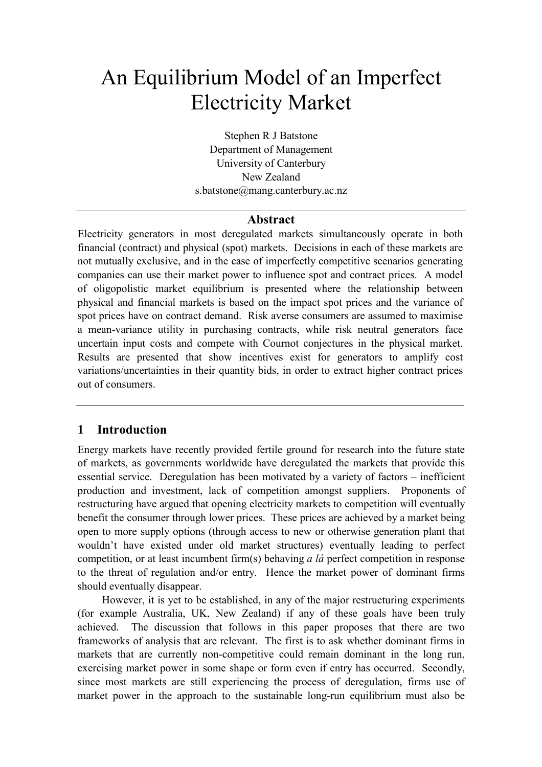# An Equilibrium Model of an Imperfect Electricity Market

Stephen R J Batstone Department of Management University of Canterbury New Zealand s.batstone@mang.canterbury.ac.nz

## **Abstract**

Electricity generators in most deregulated markets simultaneously operate in both financial (contract) and physical (spot) markets. Decisions in each of these markets are not mutually exclusive, and in the case of imperfectly competitive scenarios generating companies can use their market power to influence spot and contract prices. A model of oligopolistic market equilibrium is presented where the relationship between physical and financial markets is based on the impact spot prices and the variance of spot prices have on contract demand. Risk averse consumers are assumed to maximise a mean-variance utility in purchasing contracts, while risk neutral generators face uncertain input costs and compete with Cournot conjectures in the physical market. Results are presented that show incentives exist for generators to amplify cost variations/uncertainties in their quantity bids, in order to extract higher contract prices out of consumers.

## **1 Introduction**

Energy markets have recently provided fertile ground for research into the future state of markets, as governments worldwide have deregulated the markets that provide this essential service. Deregulation has been motivated by a variety of factors – inefficient production and investment, lack of competition amongst suppliers. Proponents of restructuring have argued that opening electricity markets to competition will eventually benefit the consumer through lower prices. These prices are achieved by a market being open to more supply options (through access to new or otherwise generation plant that wouldn't have existed under old market structures) eventually leading to perfect competition, or at least incumbent firm(s) behaving *a lá* perfect competition in response to the threat of regulation and/or entry. Hence the market power of dominant firms should eventually disappear.

However, it is yet to be established, in any of the major restructuring experiments (for example Australia, UK, New Zealand) if any of these goals have been truly achieved. The discussion that follows in this paper proposes that there are two frameworks of analysis that are relevant. The first is to ask whether dominant firms in markets that are currently non-competitive could remain dominant in the long run, exercising market power in some shape or form even if entry has occurred. Secondly, since most markets are still experiencing the process of deregulation, firms use of market power in the approach to the sustainable long-run equilibrium must also be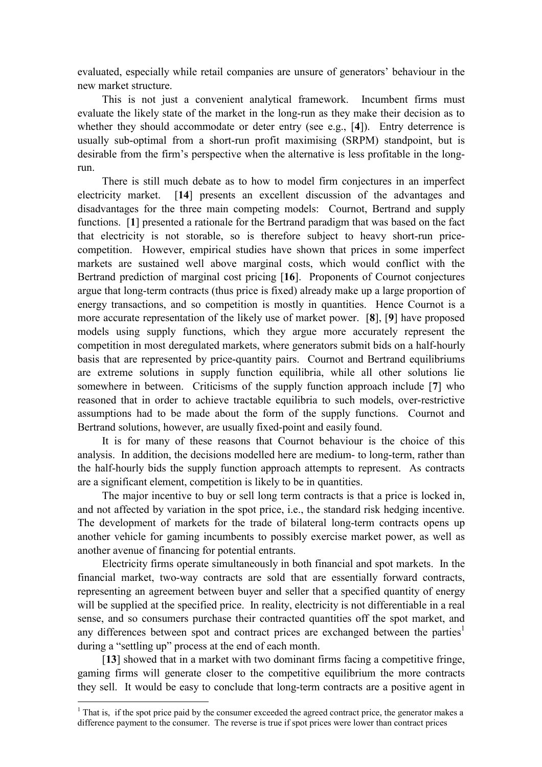evaluated, especially while retail companies are unsure of generators' behaviour in the new market structure.

This is not just a convenient analytical framework. Incumbent firms must evaluate the likely state of the market in the long-run as they make their decision as to whether they should accommodate or deter entry (see e.g., [**4**]). Entry deterrence is usually sub-optimal from a short-run profit maximising (SRPM) standpoint, but is desirable from the firm's perspective when the alternative is less profitable in the longrun.

There is still much debate as to how to model firm conjectures in an imperfect electricity market. [**14**] presents an excellent discussion of the advantages and disadvantages for the three main competing models: Cournot, Bertrand and supply functions. [**1**] presented a rationale for the Bertrand paradigm that was based on the fact that electricity is not storable, so is therefore subject to heavy short-run pricecompetition. However, empirical studies have shown that prices in some imperfect markets are sustained well above marginal costs, which would conflict with the Bertrand prediction of marginal cost pricing [**16**]. Proponents of Cournot conjectures argue that long-term contracts (thus price is fixed) already make up a large proportion of energy transactions, and so competition is mostly in quantities. Hence Cournot is a more accurate representation of the likely use of market power. [**8**], [**9**] have proposed models using supply functions, which they argue more accurately represent the competition in most deregulated markets, where generators submit bids on a half-hourly basis that are represented by price-quantity pairs. Cournot and Bertrand equilibriums are extreme solutions in supply function equilibria, while all other solutions lie somewhere in between. Criticisms of the supply function approach include [**7**] who reasoned that in order to achieve tractable equilibria to such models, over-restrictive assumptions had to be made about the form of the supply functions. Cournot and Bertrand solutions, however, are usually fixed-point and easily found.

It is for many of these reasons that Cournot behaviour is the choice of this analysis. In addition, the decisions modelled here are medium- to long-term, rather than the half-hourly bids the supply function approach attempts to represent. As contracts are a significant element, competition is likely to be in quantities.

The major incentive to buy or sell long term contracts is that a price is locked in, and not affected by variation in the spot price, i.e., the standard risk hedging incentive. The development of markets for the trade of bilateral long-term contracts opens up another vehicle for gaming incumbents to possibly exercise market power, as well as another avenue of financing for potential entrants.

Electricity firms operate simultaneously in both financial and spot markets. In the financial market, two-way contracts are sold that are essentially forward contracts, representing an agreement between buyer and seller that a specified quantity of energy will be supplied at the specified price. In reality, electricity is not differentiable in a real sense, and so consumers purchase their contracted quantities off the spot market, and any differences between spot and contract prices are exchanged between the parties<sup>1</sup> during a "settling up" process at the end of each month.

[**13**] showed that in a market with two dominant firms facing a competitive fringe, gaming firms will generate closer to the competitive equilibrium the more contracts they sell. It would be easy to conclude that long-term contracts are a positive agent in

 $1$  That is, if the spot price paid by the consumer exceeded the agreed contract price, the generator makes a difference payment to the consumer. The reverse is true if spot prices were lower than contract prices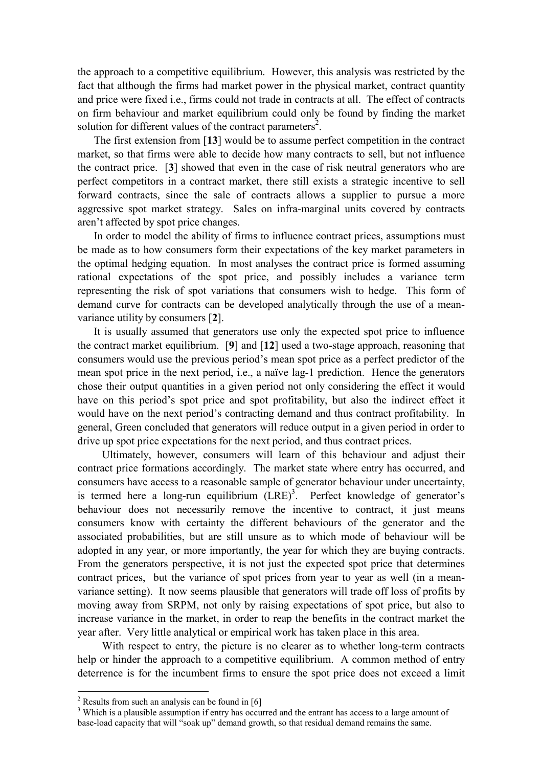the approach to a competitive equilibrium. However, this analysis was restricted by the fact that although the firms had market power in the physical market, contract quantity and price were fixed i.e., firms could not trade in contracts at all. The effect of contracts on firm behaviour and market equilibrium could only be found by finding the market solution for different values of the contract parameters<sup>2</sup>.

The first extension from [**13**] would be to assume perfect competition in the contract market, so that firms were able to decide how many contracts to sell, but not influence the contract price. [**3**] showed that even in the case of risk neutral generators who are perfect competitors in a contract market, there still exists a strategic incentive to sell forward contracts, since the sale of contracts allows a supplier to pursue a more aggressive spot market strategy. Sales on infra-marginal units covered by contracts aren't affected by spot price changes.

In order to model the ability of firms to influence contract prices, assumptions must be made as to how consumers form their expectations of the key market parameters in the optimal hedging equation. In most analyses the contract price is formed assuming rational expectations of the spot price, and possibly includes a variance term representing the risk of spot variations that consumers wish to hedge. This form of demand curve for contracts can be developed analytically through the use of a meanvariance utility by consumers [**2**].

It is usually assumed that generators use only the expected spot price to influence the contract market equilibrium. [**9**] and [**12**] used a two-stage approach, reasoning that consumers would use the previous period's mean spot price as a perfect predictor of the mean spot price in the next period, i.e., a naïve lag-1 prediction. Hence the generators chose their output quantities in a given period not only considering the effect it would have on this period's spot price and spot profitability, but also the indirect effect it would have on the next period's contracting demand and thus contract profitability. In general, Green concluded that generators will reduce output in a given period in order to drive up spot price expectations for the next period, and thus contract prices.

Ultimately, however, consumers will learn of this behaviour and adjust their contract price formations accordingly. The market state where entry has occurred, and consumers have access to a reasonable sample of generator behaviour under uncertainty, is termed here a long-run equilibrium  $(LRE)^3$ . Perfect knowledge of generator's behaviour does not necessarily remove the incentive to contract, it just means consumers know with certainty the different behaviours of the generator and the associated probabilities, but are still unsure as to which mode of behaviour will be adopted in any year, or more importantly, the year for which they are buying contracts. From the generators perspective, it is not just the expected spot price that determines contract prices, but the variance of spot prices from year to year as well (in a meanvariance setting). It now seems plausible that generators will trade off loss of profits by moving away from SRPM, not only by raising expectations of spot price, but also to increase variance in the market, in order to reap the benefits in the contract market the year after. Very little analytical or empirical work has taken place in this area.

With respect to entry, the picture is no clearer as to whether long-term contracts help or hinder the approach to a competitive equilibrium. A common method of entry deterrence is for the incumbent firms to ensure the spot price does not exceed a limit

<sup>&</sup>lt;sup>2</sup> Results from such an analysis can be found in  $[6]$ 

<sup>&</sup>lt;sup>3</sup> Which is a plausible assumption if entry has occurred and the entrant has access to a large amount of base-load capacity that will "soak up" demand growth, so that residual demand remains the same.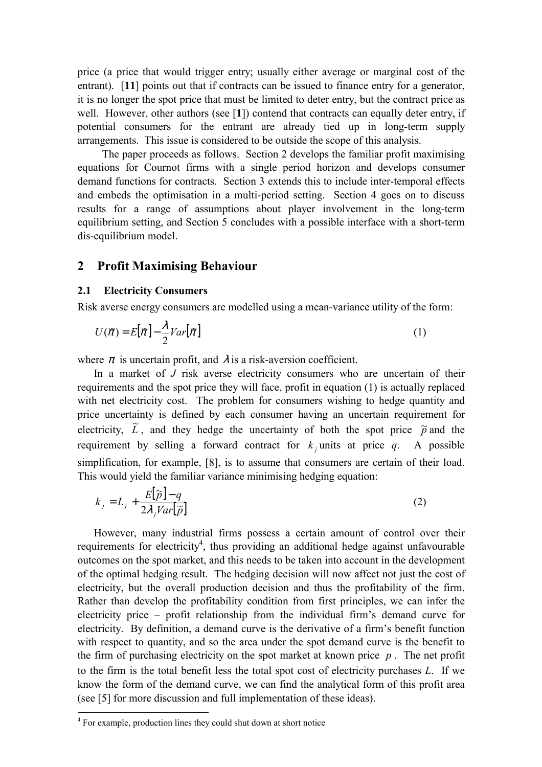price (a price that would trigger entry; usually either average or marginal cost of the entrant). [11] points out that if contracts can be issued to finance entry for a generator, it is no longer the spot price that must be limited to deter entry, but the contract price as well. However, other authors (see [**1**]) contend that contracts can equally deter entry, if potential consumers for the entrant are already tied up in long-term supply arrangements. This issue is considered to be outside the scope of this analysis.

The paper proceeds as follows. Section 2 develops the familiar profit maximising equations for Cournot firms with a single period horizon and develops consumer demand functions for contracts. Section 3 extends this to include inter-temporal effects and embeds the optimisation in a multi-period setting. Section 4 goes on to discuss results for a range of assumptions about player involvement in the long-term equilibrium setting, and Section 5 concludes with a possible interface with a short-term dis-equilibrium model.

## **2 Profit Maximising Behaviour**

#### **2.1 Electricity Consumers**

Risk averse energy consumers are modelled using a mean-variance utility of the form:

$$
U(\tilde{\pi}) = E[\tilde{\pi}] - \frac{\lambda}{2}Var[\tilde{\pi}]
$$
\n(1)

where  $\pi$  is uncertain profit, and  $\lambda$  is a risk-aversion coefficient.

In a market of *J* risk averse electricity consumers who are uncertain of their requirements and the spot price they will face, profit in equation (1) is actually replaced with net electricity cost. The problem for consumers wishing to hedge quantity and price uncertainty is defined by each consumer having an uncertain requirement for electricity,  $\tilde{L}$ , and they hedge the uncertainty of both the spot price  $\tilde{p}$  and the requirement by selling a forward contract for  $k_i$  units at price  $q_i$ . A possible simplification, for example, [8], is to assume that consumers are certain of their load. This would yield the familiar variance minimising hedging equation:

$$
k_j = L_j + \frac{E[\tilde{p}]-q}{2\lambda_j Var[\tilde{p}]}
$$
 (2)

However, many industrial firms possess a certain amount of control over their requirements for electricity<sup>4</sup>, thus providing an additional hedge against unfavourable outcomes on the spot market, and this needs to be taken into account in the development of the optimal hedging result. The hedging decision will now affect not just the cost of electricity, but the overall production decision and thus the profitability of the firm. Rather than develop the profitability condition from first principles, we can infer the electricity price  $-$  profit relationship from the individual firm's demand curve for electricity. By definition, a demand curve is the derivative of a firm's benefit function with respect to quantity, and so the area under the spot demand curve is the benefit to the firm of purchasing electricity on the spot market at known price  $p$ . The net profit to the firm is the total benefit less the total spot cost of electricity purchases *L*. If we know the form of the demand curve, we can find the analytical form of this profit area (see [5] for more discussion and full implementation of these ideas).

<sup>&</sup>lt;sup>4</sup> For example, production lines they could shut down at short notice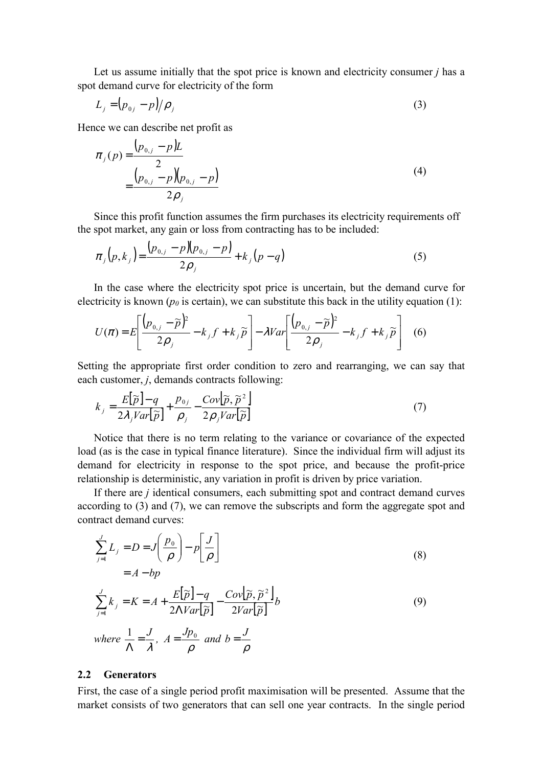Let us assume initially that the spot price is known and electricity consumer *j* has a spot demand curve for electricity of the form

$$
L_j = (p_{0j} - p)/\rho_j \tag{3}
$$

Hence we can describe net profit as

$$
\pi_j(p) = \frac{(p_{0,j} - p)L}{2} \n= \frac{(p_{0,j} - p)(p_{0,j} - p)}{2p_j}
$$
\n(4)

Since this profit function assumes the firm purchases its electricity requirements off the spot market, any gain or loss from contracting has to be included:

$$
\pi_j(p,k_j) = \frac{(p_{0,j} - p)(p_{0,j} - p)}{2\rho_j} + k_j(p-q)
$$
\n(5)

In the case where the electricity spot price is uncertain, but the demand curve for electricity is known  $(p_0)$  is certain), we can substitute this back in the utility equation (1):

$$
U(\pi) = E\left[\frac{(p_{0,j} - \widetilde{p})^2}{2\rho_j} - k_j f + k_j \widetilde{p}\right] - \lambda Var\left[\frac{(p_{0,j} - \widetilde{p})^2}{2\rho_j} - k_j f + k_j \widetilde{p}\right] \tag{6}
$$

Setting the appropriate first order condition to zero and rearranging, we can say that each customer, *j*, demands contracts following:

$$
k_{j} = \frac{E[\widetilde{p}]-q}{2\lambda_{j}Var[\widetilde{p}]} + \frac{p_{0j}}{\rho_{j}} - \frac{Cov[\widetilde{p}, \widetilde{p}^{2}]}{2\rho_{j}Var[\widetilde{p}]}
$$
(7)

Notice that there is no term relating to the variance or covariance of the expected load (as is the case in typical finance literature). Since the individual firm will adjust its demand for electricity in response to the spot price, and because the profit-price relationship is deterministic, any variation in profit is driven by price variation.

If there are *j* identical consumers, each submitting spot and contract demand curves according to (3) and (7), we can remove the subscripts and form the aggregate spot and contract demand curves:

$$
\sum_{j=1}^{J} L_{j} = D = J \left( \frac{p_{0}}{\rho} \right) - p \left[ \frac{J}{\rho} \right]
$$
\n
$$
= A - bp
$$
\n
$$
\sum_{j=1}^{J} k_{j} = K = A + \frac{E[\tilde{p}] - q}{2\Lambda Var[\tilde{p}]} - \frac{Cov[\tilde{p}, \tilde{p}^{2}]}{2Var[\tilde{p}]} b
$$
\n
$$
where \frac{1}{\Lambda} = \frac{J}{\lambda}, A = \frac{Jp_{0}}{\rho} and b = \frac{J}{\rho}
$$
\n(9)

### **2.2 Generators**

First, the case of a single period profit maximisation will be presented. Assume that the market consists of two generators that can sell one year contracts. In the single period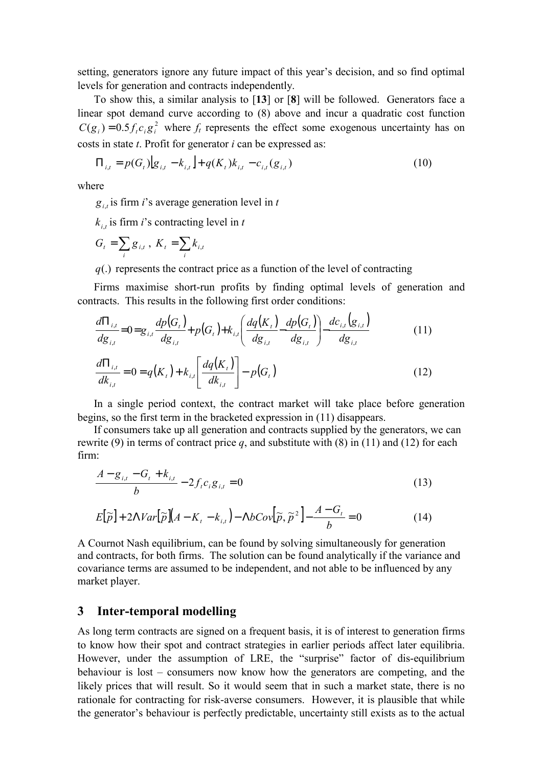setting, generators ignore any future impact of this year's decision, and so find optimal levels for generation and contracts independently.

To show this, a similar analysis to [**13**] or [**8**] will be followed. Generators face a linear spot demand curve according to (8) above and incur a quadratic cost function  $C(g_i) = 0.5 f_i c_i g_i^2$  where  $f_i$  represents the effect some exogenous uncertainty has on costs in state *t*. Profit for generator *i* can be expressed as:

$$
\Pi_{i,t} = p(G_t)[g_{i,t} - k_{i,t}] + q(K_t)k_{i,t} - c_{i,t}(g_{i,t})
$$
\n(10)

where

 $g_{i,t}$  is firm *i*'s average generation level in *t* 

 $k_{i,t}$  is firm *i*'s contracting level in *t* 

$$
G_t = \sum_i g_{i,t}, K_t = \sum_i k_{i,t}
$$

*q*(.) represents the contract price as a function of the level of contracting

Firms maximise short-run profits by finding optimal levels of generation and contracts. This results in the following first order conditions:

$$
\frac{d\Pi_{i,t}}{dg_{i,t}} = 0 = g_{i,t} \frac{dp(G_t)}{dg_{i,t}} + p(G_t) + k_{i,t} \left( \frac{dq(K_t)}{dg_{i,t}} - \frac{dp(G_t)}{dg_{i,t}} \right) - \frac{dc_{i,t}(g_{i,t})}{dg_{i,t}}
$$
\n(11)\n
$$
\frac{d\Pi_{i,t}}{dk_{i,t}} = 0 = q(K_t) + k_{i,t} \left[ \frac{dq(K_t)}{dk_{i,t}} \right] - p(G_t)
$$
\n(12)

In a single period context, the contract market will take place before generation begins, so the first term in the bracketed expression in (11) disappears.

If consumers take up all generation and contracts supplied by the generators, we can rewrite (9) in terms of contract price  $q$ , and substitute with (8) in (11) and (12) for each firm:

$$
\frac{A - g_{i,t} - G_t + k_{i,t}}{b} - 2f_t c_i g_{i,t} = 0
$$
\n(13)

$$
E[\widetilde{p}] + 2\Lambda Var[\widetilde{p}](A - K_t - k_{i,t}) - \Lambda bCov[\widetilde{p}, \widetilde{p}^2] - \frac{A - G_t}{b} = 0
$$
 (14)

A Cournot Nash equilibrium, can be found by solving simultaneously for generation and contracts, for both firms. The solution can be found analytically if the variance and covariance terms are assumed to be independent, and not able to be influenced by any market player.

### **3 Inter-temporal modelling**

As long term contracts are signed on a frequent basis, it is of interest to generation firms to know how their spot and contract strategies in earlier periods affect later equilibria. However, under the assumption of LRE, the "surprise" factor of dis-equilibrium behaviour is lost  $-\overline{\phantom{a}}$  consumers now know how the generators are competing, and the likely prices that will result. So it would seem that in such a market state, there is no rationale for contracting for risk-averse consumers. However, it is plausible that while the generator's behaviour is perfectly predictable, uncertainty still exists as to the actual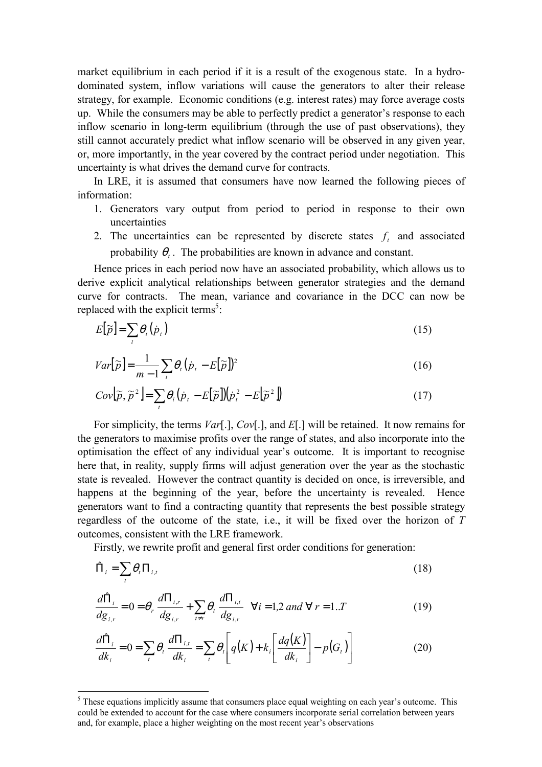market equilibrium in each period if it is a result of the exogenous state. In a hydrodominated system, inflow variations will cause the generators to alter their release strategy, for example. Economic conditions (e.g. interest rates) may force average costs up. While the consumers may be able to perfectly predict a generator's response to each inflow scenario in long-term equilibrium (through the use of past observations), they still cannot accurately predict what inflow scenario will be observed in any given year, or, more importantly, in the year covered by the contract period under negotiation. This uncertainty is what drives the demand curve for contracts.

In LRE, it is assumed that consumers have now learned the following pieces of information:

- 1. Generators vary output from period to period in response to their own uncertainties
- 2. The uncertainties can be represented by discrete states  $f_t$  and associated probability  $\theta_t$ . The probabilities are known in advance and constant.

Hence prices in each period now have an associated probability, which allows us to derive explicit analytical relationships between generator strategies and the demand curve for contracts. The mean, variance and covariance in the DCC can now be replaced with the explicit terms<sup>5</sup>:

$$
E[\widetilde{p}] = \sum_{i} \theta_{i}(\dot{p}_{i})
$$
\n(15)

$$
Var[\widetilde{p}] = \frac{1}{m-1} \sum_{t} \theta_{t} (\dot{p}_{t} - E[\widetilde{p}])^{2}
$$
\n(16)

$$
Cov[\widetilde{p}, \widetilde{p}^2] = \sum_{i} \theta_i (\dot{p}_i - E[\widetilde{p}]) (\dot{p}_i^2 - E[\widetilde{p}^2])
$$
\n(17)

For simplicity, the terms *Var*[.], *Cov*[.], and *E*[.] will be retained. It now remains for the generators to maximise profits over the range of states, and also incorporate into the optimisation the effect of any individual year's outcome. It is important to recognise here that, in reality, supply firms will adjust generation over the year as the stochastic state is revealed. However the contract quantity is decided on once, is irreversible, and happens at the beginning of the year, before the uncertainty is revealed. Hence generators want to find a contracting quantity that represents the best possible strategy regardless of the outcome of the state, i.e., it will be fixed over the horizon of *T* outcomes, consistent with the LRE framework.

Firstly, we rewrite profit and general first order conditions for generation:

$$
\hat{\Pi}_i = \sum_t \theta_t \Pi_{i,t} \tag{18}
$$

$$
\frac{d\hat{\Pi}_{i}}{dg_{i,r}} = 0 = \theta_r \frac{d\Pi_{i,r}}{dg_{i,r}} + \sum_{t \neq r} \theta_t \frac{d\Pi_{i,t}}{dg_{i,r}} \quad \forall i = 1, 2 \text{ and } \forall r = 1..T
$$
 (19)

$$
\frac{d\hat{\Pi}_i}{dk_i} = 0 = \sum_i \theta_i \frac{d\Pi_{i,t}}{dk_i} = \sum_i \theta_i \left[ q(K) + k_i \left[ \frac{dq(K)}{dk_i} \right] - p(G_i) \right]
$$
(20)

 $<sup>5</sup>$  These equations implicitly assume that consumers place equal weighting on each year's outcome. This</sup> could be extended to account for the case where consumers incorporate serial correlation between years and, for example, place a higher weighting on the most recent year's observations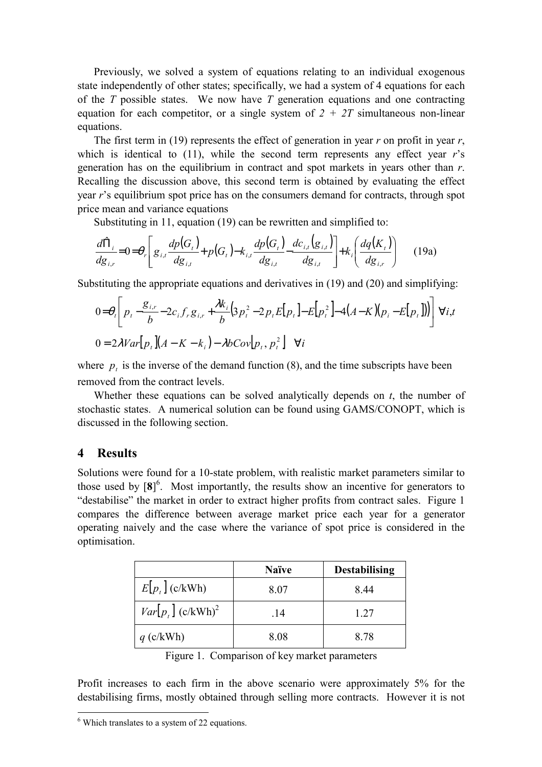Previously, we solved a system of equations relating to an individual exogenous state independently of other states; specifically, we had a system of 4 equations for each of the *T* possible states. We now have *T* generation equations and one contracting equation for each competitor, or a single system of  $2 + 2T$  simultaneous non-linear equations.

The first term in (19) represents the effect of generation in year *r* on profit in year *r*, which is identical to  $(11)$ , while the second term represents any effect year *r*'s generation has on the equilibrium in contract and spot markets in years other than *r*. Recalling the discussion above, this second term is obtained by evaluating the effect year *r*ís equilibrium spot price has on the consumers demand for contracts, through spot price mean and variance equations

Substituting in 11, equation (19) can be rewritten and simplified to:

$$
\frac{d\hat{\Pi}_{i}}{dg_{i,r}} = 0 = \theta_r \left[ g_{i,t} \frac{dp(G_t)}{dg_{i,t}} + p(G_t) - k_{i,t} \frac{dp(G_t)}{dg_{i,t}} \frac{dc_{i,t}(g_{i,t})}{dg_{i,t}} \right] + k_i \left( \frac{dq(K_t)}{dg_{i,r}} \right) \tag{19a}
$$

Substituting the appropriate equations and derivatives in (19) and (20) and simplifying:

$$
0 = \theta_t \left[ p_t - \frac{g_{i,r}}{b} - 2c_i f_r g_{i,r} + \frac{\lambda k_i}{b} \left( 3p_t^2 - 2p_t E[p_t] - E[p_t^2] - 4(A - K)(p_i - E[p_t]) \right) \right] \forall i, t
$$
  
0 = 2\lambda Var[p\_t](A - K - k\_i) - \lambda bCov[p\_t, p\_t^2] \forall i

where  $p_t$  is the inverse of the demand function (8), and the time subscripts have been removed from the contract levels.

Whether these equations can be solved analytically depends on *t*, the number of stochastic states. A numerical solution can be found using GAMS/CONOPT, which is discussed in the following section.

## **4 Results**

 $\overline{a}$ 

Solutions were found for a 10-state problem, with realistic market parameters similar to those used by  $[8]^\circ$ . Most importantly, the results show an incentive for generators to "destabilise" the market in order to extract higher profits from contract sales. Figure 1 compares the difference between average market price each year for a generator operating naively and the case where the variance of spot price is considered in the optimisation.

|                                 | <b>Naïve</b> | <b>Destabilising</b> |
|---------------------------------|--------------|----------------------|
| $E[p_t]$ (c/kWh)                | 8.07         | 844                  |
| $Var[p_r]$ (c/kWh) <sup>2</sup> | .14          | 1.27                 |
| $q$ (c/kWh)                     | 8.08         | 8.78                 |

Figure 1. Comparison of key market parameters

Profit increases to each firm in the above scenario were approximately 5% for the destabilising firms, mostly obtained through selling more contracts. However it is not

<sup>&</sup>lt;sup>6</sup> Which translates to a system of 22 equations.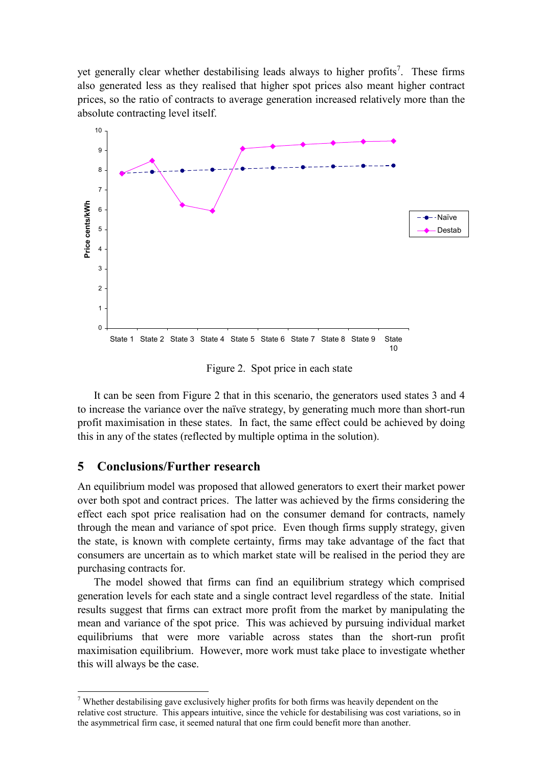yet generally clear whether destabilising leads always to higher profits<sup>7</sup>. These firms also generated less as they realised that higher spot prices also meant higher contract prices, so the ratio of contracts to average generation increased relatively more than the absolute contracting level itself.



Figure 2. Spot price in each state

It can be seen from Figure 2 that in this scenario, the generators used states 3 and 4 to increase the variance over the naïve strategy, by generating much more than short-run profit maximisation in these states. In fact, the same effect could be achieved by doing this in any of the states (reflected by multiple optima in the solution).

## **5 Conclusions/Further research**

 $\overline{a}$ 

An equilibrium model was proposed that allowed generators to exert their market power over both spot and contract prices. The latter was achieved by the firms considering the effect each spot price realisation had on the consumer demand for contracts, namely through the mean and variance of spot price. Even though firms supply strategy, given the state, is known with complete certainty, firms may take advantage of the fact that consumers are uncertain as to which market state will be realised in the period they are purchasing contracts for.

The model showed that firms can find an equilibrium strategy which comprised generation levels for each state and a single contract level regardless of the state. Initial results suggest that firms can extract more profit from the market by manipulating the mean and variance of the spot price. This was achieved by pursuing individual market equilibriums that were more variable across states than the short-run profit maximisation equilibrium. However, more work must take place to investigate whether this will always be the case.

<sup>&</sup>lt;sup>7</sup> Whether destabilising gave exclusively higher profits for both firms was heavily dependent on the relative cost structure. This appears intuitive, since the vehicle for destabilising was cost variations, so in the asymmetrical firm case, it seemed natural that one firm could benefit more than another.